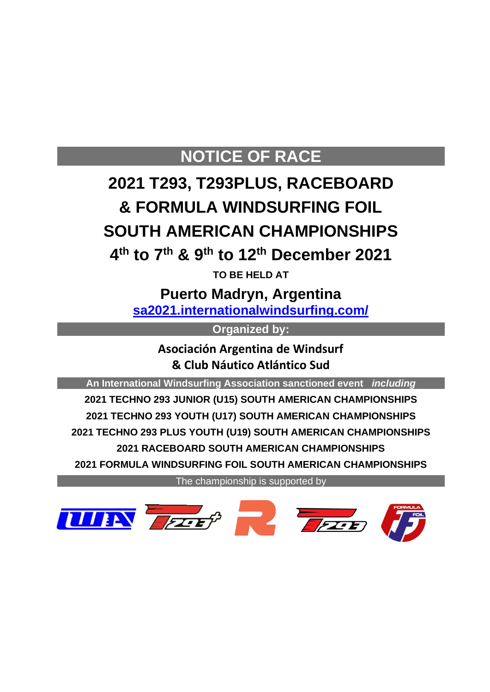### **NOTICE OF RACE**

## **2021 T293, T293PLUS, RACEBOARD & FORMULA WINDSURFING FOIL SOUTH AMERICAN CHAMPIONSHIPS**

**4 th to 7 th & 9th to 12th December 2021**

**TO BE HELD AT**

**Puerto Madryn, Argentina [sa2021.internationalwindsurfing.com/](https://sa2021.internationalwindsurfing.com/)**

**Organized by:**

**Asociación Argentina de Windsurf & Club Náutico Atlántico Sud**

**An International Windsurfing Association sanctioned event** *including*

 **TECHNO 293 JUNIOR (U15) SOUTH AMERICAN CHAMPIONSHIPS TECHNO 293 YOUTH (U17) SOUTH AMERICAN CHAMPIONSHIPS TECHNO 293 PLUS YOUTH (U19) SOUTH AMERICAN CHAMPIONSHIPS 2021 RACEBOARD SOUTH AMERICAN CHAMPIONSHIPS FORMULA WINDSURFING FOIL SOUTH AMERICAN CHAMPIONSHIPS**

The championship is supported by

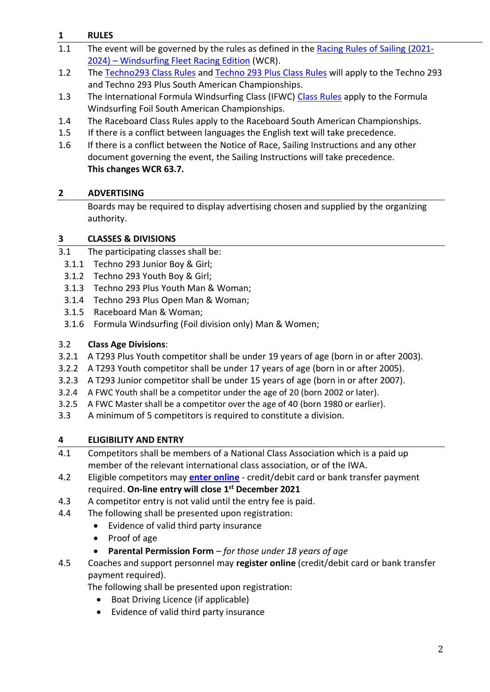#### **1 RULES**

- 1.1 The event will be governed by the rules as defined in the [Racing Rules of Sailing \(2021-](https://www.sailing.org/tools/documents/RRS20212024WindsurfEdition1Jan2021-%5b27128%5d.pdf) 2024) – [Windsurfing Fleet Racing Edition](https://www.sailing.org/tools/documents/RRS20212024WindsurfEdition1Jan2021-%5b27128%5d.pdf) (WCR).
- 1.2 The [Techno293 Class Rules](https://www.sailing.org/38229.php) and [Techno 293](https://www.sailing.org/classesandequipment/89707.php) Plus Class Rules will apply to the Techno 293 and Techno 293 Plus South American Championships.
- 1.3 The International Formula Windsurfing Class (IFWC) [Class Rules](https://www.sailing.org/38369.php) apply to the Formula Windsurfing Foil South American Championships.
- 1.4 The Raceboard Class Rules apply to the Raceboard South American Championships.
- 1.5 If there is a conflict between languages the English text will take precedence.
- 1.6 If there is a conflict between the Notice of Race, Sailing Instructions and any other document governing the event, the Sailing Instructions will take precedence. **This changes WCR 63.7.**

#### **2 ADVERTISING**

Boards may be required to display advertising chosen and supplied by the organizing authority.

#### **3 CLASSES & DIVISIONS**

- 3.1 The participating classes shall be:
	- 3.1.1 Techno 293 Junior Boy & Girl;
	- 3.1.2 Techno 293 Youth Boy & Girl;
	- 3.1.3 Techno 293 Plus Youth Man & Woman;
	- 3.1.4 Techno 293 Plus Open Man & Woman;
	- 3.1.5 Raceboard Man & Woman;
	- 3.1.6 Formula Windsurfing (Foil division only) Man & Women;

#### 3.2 **Class Age Divisions**:

- 3.2.1 A T293 Plus Youth competitor shall be under 19 years of age (born in or after 2003).
- 3.2.2 A T293 Youth competitor shall be under 17 years of age (born in or after 2005).
- 3.2.3 A T293 Junior competitor shall be under 15 years of age (born in or after 2007).
- 3.2.4 A FWC Youth shall be a competitor under the age of 20 (born 2002 or later).
- 3.2.5 A FWC Master shall be a competitor over the age of 40 (born 1980 or earlier).
- 3.3 A minimum of 5 competitors is required to constitute a division.

#### **4 ELIGIBILITY AND ENTRY**

- 4.1 Competitors shall be members of a National Class Association which is a paid up member of the relevant international class association, or of the IWA.
- 4.2 Eligible competitors may **[enter online](https://registration.internationalwindsurfing.com/en/events/register/id/359)** credit/debit card or bank transfer payment required. **On-line entry will close 1 st December 2021**
- 4.3 A competitor entry is not valid until the entry fee is paid.
- 4.4 The following shall be presented upon registration:
	- Evidence of valid third party insurance
	- Proof of age
	- **Parental Permission Form** *for those under 18 years of age*
- 4.5 Coaches and support personnel may **register online** (credit/debit card or bank transfer payment required).

The following shall be presented upon registration:

- Boat Driving Licence (if applicable)
- Evidence of valid third party insurance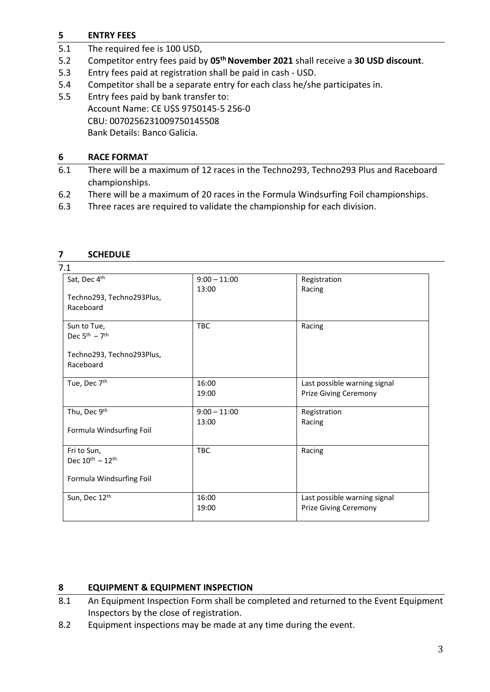#### **5 ENTRY FEES**

- 5.1 The required fee is 100 USD,
- 5.2 Competitor entry fees paid by **05th November 2021** shall receive a **30 USD discount**.
- 5.3 Entry fees paid at registration shall be paid in cash USD.
- 5.4 Competitor shall be a separate entry for each class he/she participates in.

5.5 Entry fees paid by bank transfer to: Account Name: CE U\$S 9750145-5 256-0 CBU: 0070256231009750145508 Bank Details: Banco Galicia.

#### **6 RACE FORMAT**

- 6.1 There will be a maximum of 12 races in the Techno293, Techno293 Plus and Raceboard championships.
- 6.2 There will be a maximum of 20 races in the Formula Windsurfing Foil championships.
- 6.3 Three races are required to validate the championship for each division.

| 7.1                                   |                |                              |
|---------------------------------------|----------------|------------------------------|
| Sat, Dec 4th                          | $9:00 - 11:00$ | Registration                 |
|                                       | 13:00          | Racing                       |
| Techno293, Techno293Plus,             |                |                              |
| Raceboard                             |                |                              |
| Sun to Tue,                           | <b>TBC</b>     | Racing                       |
| Dec $5th - 7th$                       |                |                              |
| Techno293, Techno293Plus,             |                |                              |
| Raceboard                             |                |                              |
|                                       |                |                              |
| Tue, Dec 7th                          | 16:00          | Last possible warning signal |
|                                       | 19:00          | <b>Prize Giving Ceremony</b> |
| Thu, Dec 9th                          | $9:00 - 11:00$ | Registration                 |
|                                       | 13:00          | Racing                       |
| Formula Windsurfing Foil              |                |                              |
| Fri to Sun,                           | <b>TBC</b>     | Racing                       |
| Dec $10^{\text{th}} - 12^{\text{th}}$ |                |                              |
| Formula Windsurfing Foil              |                |                              |
|                                       |                |                              |
| Sun, Dec 12th                         | 16:00          | Last possible warning signal |
|                                       | 19:00          | <b>Prize Giving Ceremony</b> |
|                                       |                |                              |

#### **7 SCHEDULE**

#### **8 EQUIPMENT & EQUIPMENT INSPECTION**

- 8.1 An Equipment Inspection Form shall be completed and returned to the Event Equipment Inspectors by the close of registration.
- 8.2 Equipment inspections may be made at any time during the event.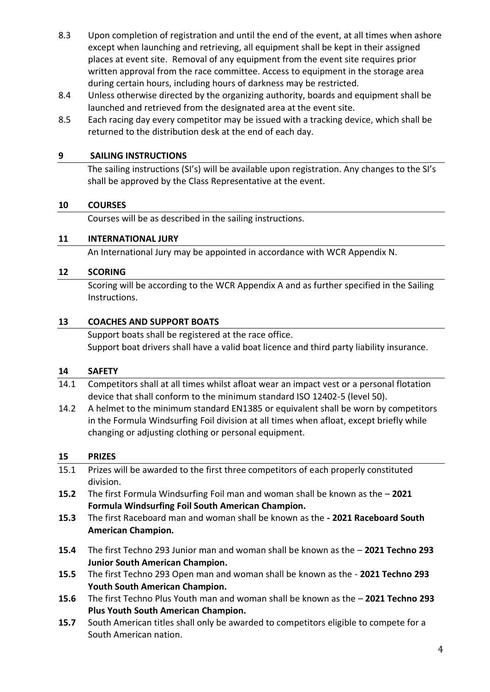- 8.3 Upon completion of registration and until the end of the event, at all times when ashore except when launching and retrieving, all equipment shall be kept in their assigned places at event site. Removal of any equipment from the event site requires prior written approval from the race committee. Access to equipment in the storage area during certain hours, including hours of darkness may be restricted.
- 8.4 Unless otherwise directed by the organizing authority, boards and equipment shall be launched and retrieved from the designated area at the event site.
- 8.5 Each racing day every competitor may be issued with a tracking device, which shall be returned to the distribution desk at the end of each day.

#### **9 SAILING INSTRUCTIONS**

The sailing instructions (SI's) will be available upon registration. Any changes to the SI's shall be approved by the Class Representative at the event.

#### **10 COURSES**

Courses will be as described in the sailing instructions.

#### **11 INTERNATIONAL JURY**

An International Jury may be appointed in accordance with WCR Appendix N.

#### **12 SCORING**

Scoring will be according to the WCR Appendix A and as further specified in the Sailing Instructions.

#### **13 COACHES AND SUPPORT BOATS**

Support boats shall be registered at the race office. Support boat drivers shall have a valid boat licence and third party liability insurance.

#### **14 SAFETY**

- 14.1 Competitors shall at all times whilst afloat wear an impact vest or a personal flotation device that shall conform to the minimum standard ISO 12402-5 (level 50).
- 14.2 A helmet to the minimum standard EN1385 or equivalent shall be worn by competitors in the Formula Windsurfing Foil division at all times when afloat, except briefly while changing or adjusting clothing or personal equipment.

#### **15 PRIZES**

- 15.1 Prizes will be awarded to the first three competitors of each properly constituted division. **15.2** The first Formula Windsurfing Foil man and woman shall be known as the – **2021 Formula Windsurfing Foil South American Champion. 15.3** The first Raceboard man and woman shall be known as the **- 2021 Raceboard South American Champion. 15.4** The first Techno 293 Junior man and woman shall be known as the – **2021 Techno 293 Junior South American Champion. 15.5** The first Techno 293 Open man and woman shall be known as the - **2021 Techno 293 Youth South American Champion.**
- **15.6** The first Techno Plus Youth man and woman shall be known as the **2021 Techno 293 Plus Youth South American Champion.**
- **15.7** South American titles shall only be awarded to competitors eligible to compete for a South American nation.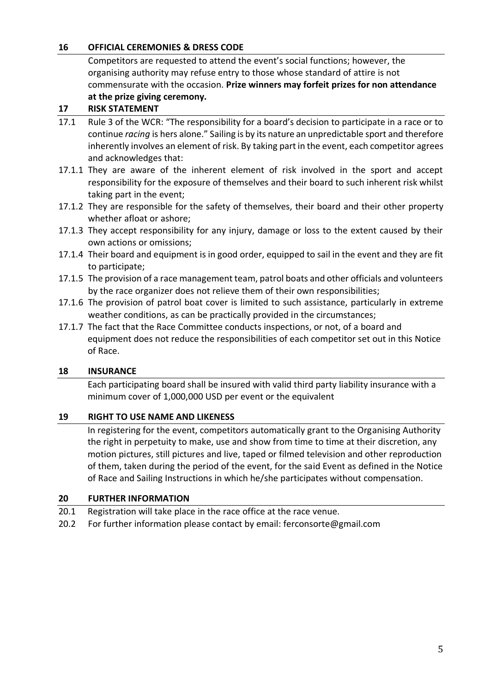#### **16 OFFICIAL CEREMONIES & DRESS CODE**

Competitors are requested to attend the event's social functions; however, the organising authority may refuse entry to those whose standard of attire is not commensurate with the occasion. **Prize winners may forfeit prizes for non attendance at the prize giving ceremony.**

#### **17 RISK STATEMENT**

- 17.1 Rule 3 of the WCR: "The responsibility for a board's decision to participate in a race or to continue *racing* is hers alone." Sailing is by its nature an unpredictable sport and therefore inherently involves an element of risk. By taking part in the event, each competitor agrees and acknowledges that:
- 17.1.1 They are aware of the inherent element of risk involved in the sport and accept responsibility for the exposure of themselves and their board to such inherent risk whilst taking part in the event;
- 17.1.2 They are responsible for the safety of themselves, their board and their other property whether afloat or ashore;
- 17.1.3 They accept responsibility for any injury, damage or loss to the extent caused by their own actions or omissions;
- 17.1.4 Their board and equipment is in good order, equipped to sail in the event and they are fit to participate;
- 17.1.5 The provision of a race management team, patrol boats and other officials and volunteers by the race organizer does not relieve them of their own responsibilities;
- 17.1.6 The provision of patrol boat cover is limited to such assistance, particularly in extreme weather conditions, as can be practically provided in the circumstances;
- 17.1.7 The fact that the Race Committee conducts inspections, or not, of a board and equipment does not reduce the responsibilities of each competitor set out in this Notice of Race.

#### **18 INSURANCE**

Each participating board shall be insured with valid third party liability insurance with a minimum cover of 1,000,000 USD per event or the equivalent.

#### **19 RIGHT TO USE NAME AND LIKENESS**

In registering for the event, competitors automatically grant to the Organising Authority the right in perpetuity to make, use and show from time to time at their discretion, any motion pictures, still pictures and live, taped or filmed television and other reproduction of them, taken during the period of the event, for the said Event as defined in the Notice of Race and Sailing Instructions in which he/she participates without compensation.

#### **20 FURTHER INFORMATION**

- 20.1 Registration will take place in the race office at the race venue.
- 20.2 For further information please contact by email: ferconsorte@gmail.com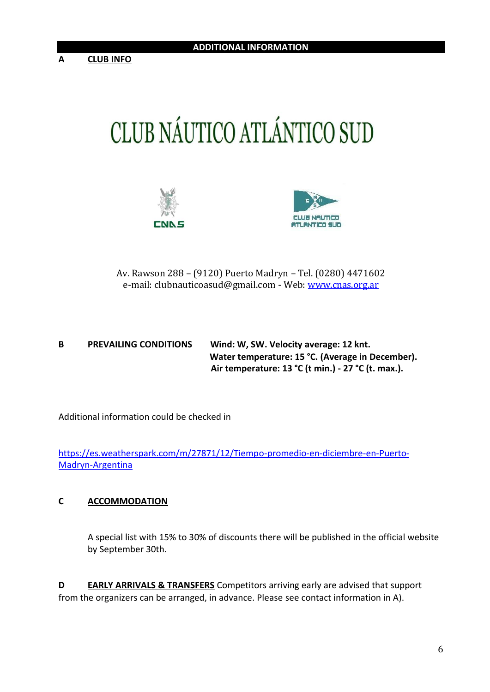# CLUB NÁUTICO ATLÁNTICO SUD





Av. Rawson 288 – (9120) Puerto Madryn – Tel. (0280) 4471602 e-mail: clubnauticoasud@gmail.com - Web[: www.cnas.org.ar](http://www.cnas.org.ar/)

#### **B PREVAILING CONDITIONS Wind: W, SW. Velocity average: 12 knt. Water temperature: 15 °C. (Average in December). Air temperature: 13 °C (t min.) - 27 °C (t. max.).**

Additional information could be checked in

[https://es.weatherspark.com/m/27871/12/Tiempo-promedio-en-diciembre-en-Puerto-](https://es.weatherspark.com/m/27871/12/Tiempo-promedio-en-diciembre-en-Puerto-Madryn-Argentina)[Madryn-Argentina](https://es.weatherspark.com/m/27871/12/Tiempo-promedio-en-diciembre-en-Puerto-Madryn-Argentina)

#### **C ACCOMMODATION**

A special list with 15% to 30% of discounts there will be published in the official website by September 30th.

**D EARLY ARRIVALS & TRANSFERS** Competitors arriving early are advised that support from the organizers can be arranged, in advance. Please see contact information in A).